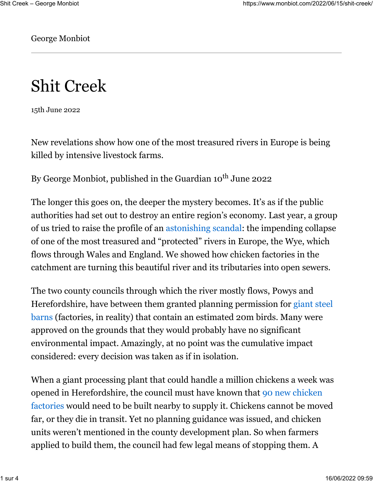[George Monbiot](https://www.monbiot.com/)

## Shit Creek

15th June 2022

New revelations show how one of the most treasured rivers in Europe is being killed by intensive livestock farms.

By George Monbiot, published in the Guardian 10<sup>th</sup> June 2022

The longer this goes on, the deeper the mystery becomes. It's as if the public authorities had set out to destroy an entire region's economy. Last year, a group of us tried to raise the profile of an [astonishing scandal](https://www.theguardian.com/commentisfree/2021/jul/21/britains-rivers-suffocating-industrial-farm-waste): the impending collapse of one of the most treasured and "protected" rivers in Europe, the Wye, which flows through Wales and England. We showed how chicken factories in the catchment are turning this beautiful river and its tributaries into open sewers.

The two county councils through which the river mostly flows, Powys and Herefordshire, have between them granted planning permission for [giant steel](https://cutcher.co.uk/linklog/2021/07/15/counting-chickens) [barns](https://cutcher.co.uk/linklog/2021/07/15/counting-chickens) (factories, in reality) that contain an estimated 20m birds. Many were approved on the grounds that they would probably have no significant environmental impact. Amazingly, at no point was the cumulative impact considered: every decision was taken as if in isolation.

When a giant processing plant that could handle a million chickens a week was opened in Herefordshire, the council must have known that [90 new chicken](https://committees.parliament.uk/writtenevidence/39876/pdf/) [factories](https://committees.parliament.uk/writtenevidence/39876/pdf/) would need to be built nearby to supply it. Chickens cannot be moved far, or they die in transit. Yet no planning guidance was issued, and chicken units weren't mentioned in the county development plan. So when farmers applied to build them, the council had few legal means of stopping them. A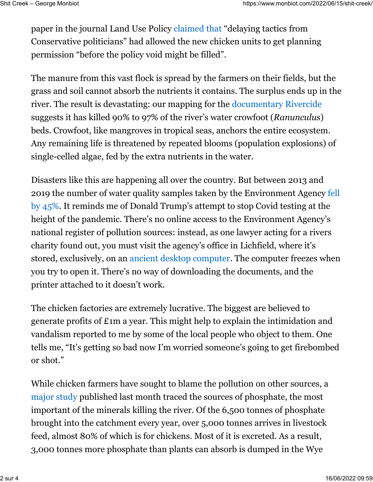paper in the journal Land Use Policy [claimed that](https://www.sciencedirect.com/science/article/abs/pii/S0264837721001381) "delaying tactics from Conservative politicians" had allowed the new chicken units to get planning permission "before the policy void might be filled".

The manure from this vast flock is spread by the farmers on their fields, but the grass and soil cannot absorb the nutrients it contains. The surplus ends up in the river. The result is devastating: our mapping for the [documentary Rivercide](https://www.youtube.com/watch?v=5ID0VAUNANA) suggests it has killed 90% to 97% of the river's water crowfoot (*Ranunculus*) beds. Crowfoot, like mangroves in tropical seas, anchors the entire ecosystem. Any remaining life is threatened by repeated blooms (population explosions) of single-celled algae, fed by the extra nutrients in the water.

Disasters like this are happening all over the country. But between 2013 and 2019 the number of water quality samples taken by the Environment Agency [fell](https://committees.parliament.uk/publications/8460/documents/88412/default/) [by 45%.](https://committees.parliament.uk/publications/8460/documents/88412/default/) It reminds me of Donald Trump's attempt to stop Covid testing at the height of the pandemic. There's no online access to the Environment Agency's national register of pollution sources: instead, as one lawyer acting for a rivers charity found out, you must visit the agency's office in Lichfield, where it's stored, exclusively, on an [ancient desktop computer.](https://www.herefordtimes.com/news/19984252.environment-agencys-river-wye-pollution-failures-break-law/) The computer freezes when you try to open it. There's no way of downloading the documents, and the printer attached to it doesn't work.

The chicken factories are extremely lucrative. The biggest are believed to generate profits of £1m a year. This might help to explain the intimidation and vandalism reported to me by some of the local people who object to them. One tells me, "It's getting so bad now I'm worried someone's going to get firebombed or shot."

While chicken farmers have sought to blame the pollution on other sources, a [major study](https://zenodo.org/record/6598122#.YqIE6dnMKkt) published last month traced the sources of phosphate, the most important of the minerals killing the river. Of the 6,500 tonnes of phosphate brought into the catchment every year, over 5,000 tonnes arrives in livestock feed, almost 80% of which is for chickens. Most of it is excreted. As a result, 3,000 tonnes more phosphate than plants can absorb is dumped in the Wye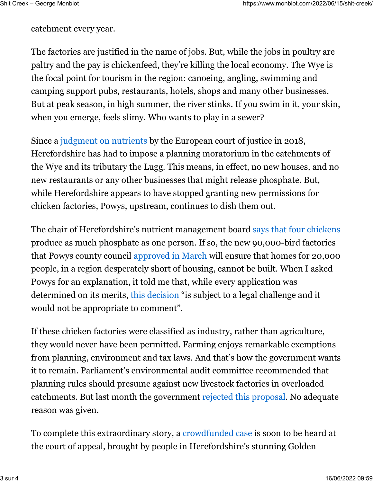catchment every year.

The factories are justified in the name of jobs. But, while the jobs in poultry are paltry and the pay is chickenfeed, they're killing the local economy. The Wye is the focal point for tourism in the region: canoeing, angling, swimming and camping support pubs, restaurants, hotels, shops and many other businesses. But at peak season, in high summer, the river stinks. If you swim in it, your skin, when you emerge, feels slimy. Who wants to play in a sewer?

Since a [judgment on nutrients](https://www.savills.com/research_articles/255800/319723-0) by the European court of justice in 2018, Herefordshire has had to impose a planning moratorium in the catchments of the Wye and its tributary the Lugg. This means, in effect, no new houses, and no new restaurants or any other businesses that might release phosphate. But, while Herefordshire appears to have stopped granting new permissions for chicken factories, Powys, upstream, continues to dish them out.

The chair of Herefordshire's nutrient management board [says that four chickens](https://www.youtube.com/watch?v=gkF5SXg9LwM) produce as much phosphate as one person. If so, the new 90,000-bird factories that Powys county council [approved in March](https://www.thenational.wales/environment/20002607.plans-double-size-wernhalog-chicken-farm-llanfaredd-approved/) will ensure that homes for 20,000 people, in a region desperately short of housing, cannot be built. When I asked Powys for an explanation, it told me that, while every application was determined on its merits, [this decision](https://fishlegal.net/2022/04/27/fish-legal-river-wye-pollution-threat/) "is subject to a legal challenge and it would not be appropriate to comment".

If these chicken factories were classified as industry, rather than agriculture, they would never have been permitted. Farming enjoys remarkable exemptions from planning, environment and tax laws. And that's how the government wants it to remain. Parliament's environmental audit committee recommended that planning rules should presume against new livestock factories in overloaded catchments. But last month the government [rejected this proposal.](https://committees.parliament.uk/publications/22190/documents/164546/default/) No adequate reason was given.

To complete this extraordinary story, a [crowdfunded case](https://www.crowdjustice.com/case/herefordshire-river-pollution/) is soon to be heard at the court of appeal, brought by people in Herefordshire's stunning Golden